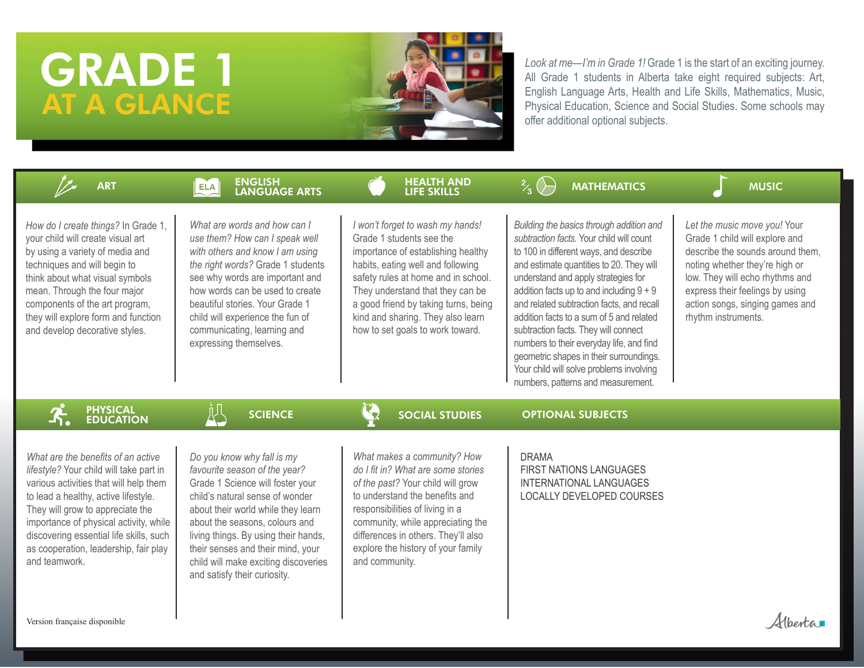# GRADE 1 AT A GLANCE



*Look at me—I'm in Grade 1!* Grade 1 is the start of an exciting journey. All Grade 1 students in Alberta take eight required subjects: Art, English Language Arts, Health and Life Skills, Mathematics, Music, Physical Education, Science and Social Studies. Some schools may offer additional optional subjects.

| <b>ART</b>                                                                                                                                                                                                                                                                                                                                         | <b>ENGLISH<br/>LANGUAGE ARTS</b><br><b>ELA</b>                                                                                                                                                                                                                                                                                                                  | <b>HEALTH AND</b><br><b>LIFE SKILLS</b>                                                                                                                                                                                                                                                                                             | <b>MATHEMATICS</b>                                                                                                                                                                                                                                                                                                                                                                                                                                                                                                                                                        | <b>MUSIC</b>                                                                                                                                                                                                                                                         |
|----------------------------------------------------------------------------------------------------------------------------------------------------------------------------------------------------------------------------------------------------------------------------------------------------------------------------------------------------|-----------------------------------------------------------------------------------------------------------------------------------------------------------------------------------------------------------------------------------------------------------------------------------------------------------------------------------------------------------------|-------------------------------------------------------------------------------------------------------------------------------------------------------------------------------------------------------------------------------------------------------------------------------------------------------------------------------------|---------------------------------------------------------------------------------------------------------------------------------------------------------------------------------------------------------------------------------------------------------------------------------------------------------------------------------------------------------------------------------------------------------------------------------------------------------------------------------------------------------------------------------------------------------------------------|----------------------------------------------------------------------------------------------------------------------------------------------------------------------------------------------------------------------------------------------------------------------|
| How do I create things? In Grade 1,<br>your child will create visual art<br>by using a variety of media and<br>techniques and will begin to<br>think about what visual symbols<br>mean. Through the four major<br>components of the art program,<br>they will explore form and function<br>and develop decorative styles.                          | What are words and how can I<br>use them? How can I speak well<br>with others and know I am using<br>the right words? Grade 1 students<br>see why words are important and<br>how words can be used to create<br>beautiful stories. Your Grade 1<br>child will experience the fun of<br>communicating, learning and<br>expressing themselves.                    | I won't forget to wash my hands!<br>Grade 1 students see the<br>importance of establishing healthy<br>habits, eating well and following<br>safety rules at home and in school.<br>They understand that they can be<br>a good friend by taking turns, being<br>kind and sharing. They also learn<br>how to set goals to work toward. | Building the basics through addition and<br>subtraction facts. Your child will count<br>to 100 in different ways, and describe<br>and estimate quantities to 20. They will<br>understand and apply strategies for<br>addition facts up to and including $9 + 9$<br>and related subtraction facts, and recall<br>addition facts to a sum of 5 and related<br>subtraction facts. They will connect<br>numbers to their everyday life, and find<br>geometric shapes in their surroundings.<br>Your child will solve problems involving<br>numbers, patterns and measurement. | Let the music move you! Your<br>Grade 1 child will explore and<br>describe the sounds around them.<br>noting whether they're high or<br>low. They will echo rhythms and<br>express their feelings by using<br>action songs, singing games and<br>rhythm instruments. |
| <b>PHYSICAL<br/>EDUCATION</b>                                                                                                                                                                                                                                                                                                                      | $\mathbb{R}^{\mathbb{L}}$<br><b>SCIENCE</b>                                                                                                                                                                                                                                                                                                                     | $\mathbf{C}_2$<br><b>SOCIAL STUDIES</b>                                                                                                                                                                                                                                                                                             | <b>OPTIONAL SUBJECTS</b>                                                                                                                                                                                                                                                                                                                                                                                                                                                                                                                                                  |                                                                                                                                                                                                                                                                      |
| What are the benefits of an active<br>lifestyle? Your child will take part in<br>various activities that will help them<br>to lead a healthy, active lifestyle.<br>They will grow to appreciate the<br>importance of physical activity, while<br>discovering essential life skills, such<br>as cooperation, leadership, fair play<br>and teamwork. | Do you know why fall is my<br>favourite season of the year?<br>Grade 1 Science will foster your<br>child's natural sense of wonder<br>about their world while they learn<br>about the seasons, colours and<br>living things. By using their hands,<br>their senses and their mind, your<br>child will make exciting discoveries<br>and satisfy their curiosity. | What makes a community? How<br>do I fit in? What are some stories<br>of the past? Your child will grow<br>to understand the benefits and<br>responsibilities of living in a<br>community, while appreciating the<br>differences in others. They'll also<br>explore the history of your family<br>and community.                     | <b>DRAMA</b><br>FIRST NATIONS LANGUAGES<br>INTERNATIONAL LANGUAGES<br>LOCALLY DEVELOPED COURSES                                                                                                                                                                                                                                                                                                                                                                                                                                                                           |                                                                                                                                                                                                                                                                      |
| Version française disponible                                                                                                                                                                                                                                                                                                                       |                                                                                                                                                                                                                                                                                                                                                                 |                                                                                                                                                                                                                                                                                                                                     |                                                                                                                                                                                                                                                                                                                                                                                                                                                                                                                                                                           |                                                                                                                                                                                                                                                                      |